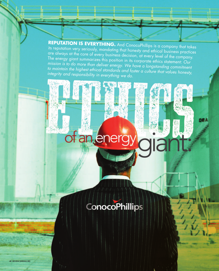**REPUTATION IS EVERYTHING.** And ConocoPhillips is a company that takes its reputation very seriously, mandating that honesty and ethical business practices are always at the core of every business decision, at every level of the company. The energy giant summarizes this position in its corporate ethics statement: *Our*  mission is to do more than deliver energy. We have a longstanding commitment *to maintain the highest ethical standards and foster a culture that values honesty, integrity and responsibility in everything we do.*

ne A

## **ConocoPhillips**

of an ener